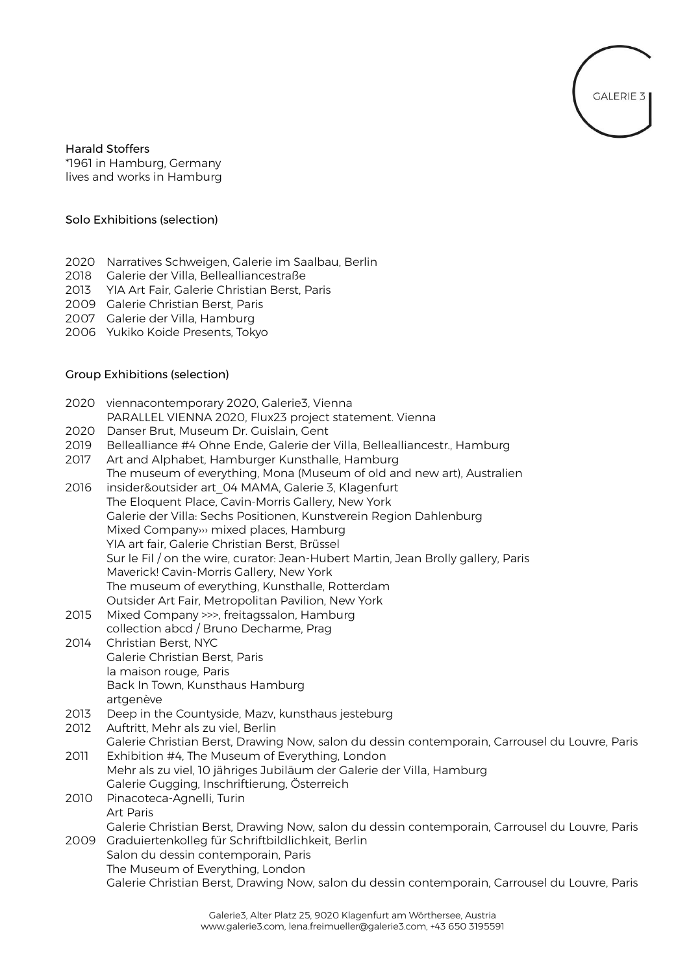

Harald Stoffers \*1961 in Hamburg, Germany lives and works in Hamburg

## Solo Exhibitions (selection)

- 2020 Narratives Schweigen, Galerie im Saalbau, Berlin
- 2018 Galerie der Villa, Bellealliancestraße
- 2013 YIA Art Fair, Galerie Christian Berst, Paris
- 2009 Galerie Christian Berst, Paris
- 2007 Galerie der Villa, Hamburg
- 2006 Yukiko Koide Presents, Tokyo

## Group Exhibitions (selection)

|      | 2020 viennacontemporary 2020, Galerie3, Vienna<br>PARALLEL VIENNA 2020, Flux23 project statement. Vienna                 |
|------|--------------------------------------------------------------------------------------------------------------------------|
| 2020 | Danser Brut, Museum Dr. Guislain, Gent                                                                                   |
| 2019 | Bellealliance #4 Ohne Ende, Galerie der Villa, Bellealliancestr., Hamburg                                                |
| 2017 | Art and Alphabet, Hamburger Kunsthalle, Hamburg                                                                          |
|      |                                                                                                                          |
|      | The museum of everything, Mona (Museum of old and new art), Australien                                                   |
| 2016 | insider&outsider art 04 MAMA, Galerie 3, Klagenfurt                                                                      |
|      | The Eloquent Place, Cavin-Morris Gallery, New York<br>Galerie der Villa: Sechs Positionen, Kunstverein Region Dahlenburg |
|      | Mixed Company» mixed places, Hamburg                                                                                     |
|      | YIA art fair, Galerie Christian Berst, Brüssel                                                                           |
|      | Sur le Fil / on the wire, curator: Jean-Hubert Martin, Jean Brolly gallery, Paris                                        |
|      | Maverick! Cavin-Morris Gallery, New York                                                                                 |
|      | The museum of everything, Kunsthalle, Rotterdam                                                                          |
|      | Outsider Art Fair, Metropolitan Pavilion, New York                                                                       |
| 2015 | Mixed Company >>>, freitagssalon, Hamburg                                                                                |
|      | collection abcd / Bruno Decharme, Prag                                                                                   |
| 2014 | Christian Berst, NYC                                                                                                     |
|      | Galerie Christian Berst, Paris                                                                                           |
|      | la maison rouge, Paris                                                                                                   |
|      | Back In Town, Kunsthaus Hamburg                                                                                          |
|      | artgenève                                                                                                                |
| 2013 | Deep in the Countyside, Mazv, kunsthaus jesteburg                                                                        |
| 2012 | Auftritt, Mehr als zu viel, Berlin                                                                                       |
|      | Galerie Christian Berst, Drawing Now, salon du dessin contemporain, Carrousel du Louvre, Paris                           |
| 2011 | Exhibition #4, The Museum of Everything, London                                                                          |
|      | Mehr als zu viel, 10 jähriges Jubiläum der Galerie der Villa, Hamburg                                                    |
|      | Galerie Gugging, Inschriftierung, Österreich                                                                             |
| 2010 | Pinacoteca-Agnelli, Turin                                                                                                |
|      | <b>Art Paris</b>                                                                                                         |
|      | Galerie Christian Berst, Drawing Now, salon du dessin contemporain, Carrousel du Louvre, Paris                           |
|      |                                                                                                                          |

2009 Graduiertenkolleg für Schriftbildlichkeit, Berlin Salon du dessin contemporain, Paris The Museum of Everything, London Galerie Christian Berst, Drawing Now, salon du dessin contemporain, Carrousel du Louvre, Paris